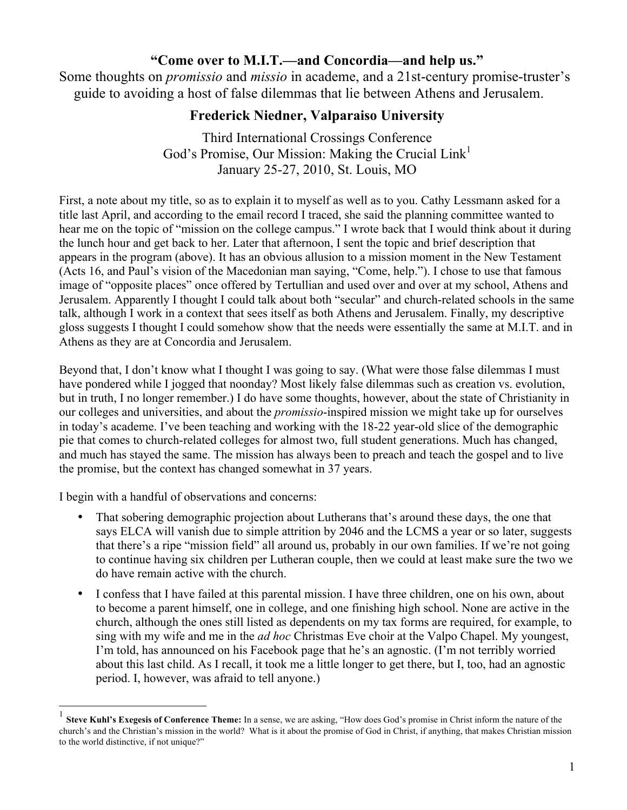# **"Come over to M.I.T.—and Concordia—and help us."**

Some thoughts on *promissio* and *missio* in academe, and a 21st-century promise-truster's guide to avoiding a host of false dilemmas that lie between Athens and Jerusalem.

# **Frederick Niedner, Valparaiso University**

Third International Crossings Conference God's Promise, Our Mission: Making the Crucial  $Link<sup>1</sup>$ January 25-27, 2010, St. Louis, MO

First, a note about my title, so as to explain it to myself as well as to you. Cathy Lessmann asked for a title last April, and according to the email record I traced, she said the planning committee wanted to hear me on the topic of "mission on the college campus." I wrote back that I would think about it during the lunch hour and get back to her. Later that afternoon, I sent the topic and brief description that appears in the program (above). It has an obvious allusion to a mission moment in the New Testament (Acts 16, and Paul's vision of the Macedonian man saying, "Come, help."). I chose to use that famous image of "opposite places" once offered by Tertullian and used over and over at my school, Athens and Jerusalem. Apparently I thought I could talk about both "secular" and church-related schools in the same talk, although I work in a context that sees itself as both Athens and Jerusalem. Finally, my descriptive gloss suggests I thought I could somehow show that the needs were essentially the same at M.I.T. and in Athens as they are at Concordia and Jerusalem.

Beyond that, I don't know what I thought I was going to say. (What were those false dilemmas I must have pondered while I jogged that noonday? Most likely false dilemmas such as creation vs. evolution, but in truth, I no longer remember.) I do have some thoughts, however, about the state of Christianity in our colleges and universities, and about the *promissio*-inspired mission we might take up for ourselves in today's academe. I've been teaching and working with the 18-22 year-old slice of the demographic pie that comes to church-related colleges for almost two, full student generations. Much has changed, and much has stayed the same. The mission has always been to preach and teach the gospel and to live the promise, but the context has changed somewhat in 37 years.

I begin with a handful of observations and concerns:

- That sobering demographic projection about Lutherans that's around these days, the one that says ELCA will vanish due to simple attrition by 2046 and the LCMS a year or so later, suggests that there's a ripe "mission field" all around us, probably in our own families. If we're not going to continue having six children per Lutheran couple, then we could at least make sure the two we do have remain active with the church.
- I confess that I have failed at this parental mission. I have three children, one on his own, about to become a parent himself, one in college, and one finishing high school. None are active in the church, although the ones still listed as dependents on my tax forms are required, for example, to sing with my wife and me in the *ad hoc* Christmas Eve choir at the Valpo Chapel. My youngest, I'm told, has announced on his Facebook page that he's an agnostic. (I'm not terribly worried about this last child. As I recall, it took me a little longer to get there, but I, too, had an agnostic period. I, however, was afraid to tell anyone.)

 <sup>1</sup> **Steve Kuhl's Exegesis of Conference Theme:** In a sense, we are asking, "How does God's promise in Christ inform the nature of the church's and the Christian's mission in the world? What is it about the promise of God in Christ, if anything, that makes Christian mission to the world distinctive, if not unique?"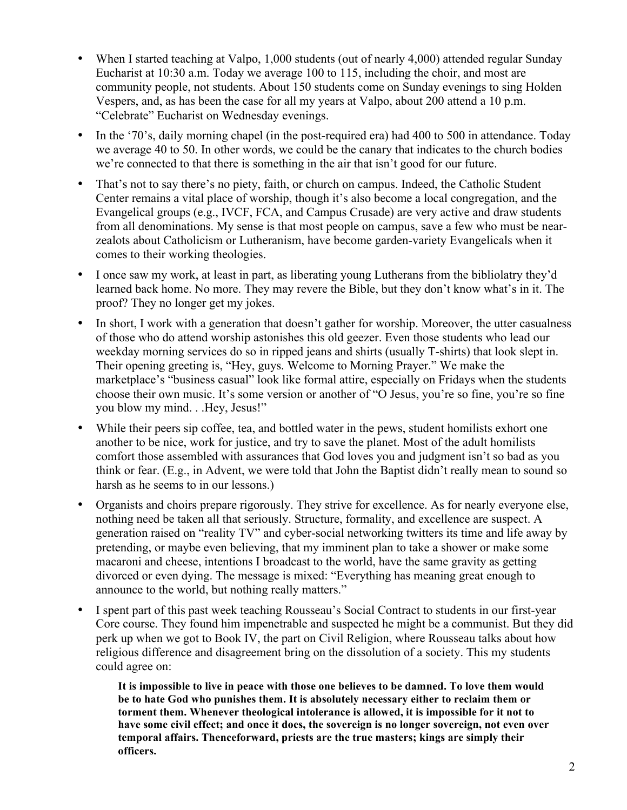- When I started teaching at Valpo, 1,000 students (out of nearly 4,000) attended regular Sunday Eucharist at 10:30 a.m. Today we average 100 to 115, including the choir, and most are community people, not students. About 150 students come on Sunday evenings to sing Holden Vespers, and, as has been the case for all my years at Valpo, about 200 attend a 10 p.m. "Celebrate" Eucharist on Wednesday evenings.
- In the '70's, daily morning chapel (in the post-required era) had 400 to 500 in attendance. Today we average 40 to 50. In other words, we could be the canary that indicates to the church bodies we're connected to that there is something in the air that isn't good for our future.
- That's not to say there's no piety, faith, or church on campus. Indeed, the Catholic Student Center remains a vital place of worship, though it's also become a local congregation, and the Evangelical groups (e.g., IVCF, FCA, and Campus Crusade) are very active and draw students from all denominations. My sense is that most people on campus, save a few who must be nearzealots about Catholicism or Lutheranism, have become garden-variety Evangelicals when it comes to their working theologies.
- I once saw my work, at least in part, as liberating young Lutherans from the bibliolatry they'd learned back home. No more. They may revere the Bible, but they don't know what's in it. The proof? They no longer get my jokes.
- In short, I work with a generation that doesn't gather for worship. Moreover, the utter casualness of those who do attend worship astonishes this old geezer. Even those students who lead our weekday morning services do so in ripped jeans and shirts (usually T-shirts) that look slept in. Their opening greeting is, "Hey, guys. Welcome to Morning Prayer." We make the marketplace's "business casual" look like formal attire, especially on Fridays when the students choose their own music. It's some version or another of "O Jesus, you're so fine, you're so fine you blow my mind. . .Hey, Jesus!"
- While their peers sip coffee, tea, and bottled water in the pews, student homilists exhort one another to be nice, work for justice, and try to save the planet. Most of the adult homilists comfort those assembled with assurances that God loves you and judgment isn't so bad as you think or fear. (E.g., in Advent, we were told that John the Baptist didn't really mean to sound so harsh as he seems to in our lessons.)
- Organists and choirs prepare rigorously. They strive for excellence. As for nearly everyone else, nothing need be taken all that seriously. Structure, formality, and excellence are suspect. A generation raised on "reality TV" and cyber-social networking twitters its time and life away by pretending, or maybe even believing, that my imminent plan to take a shower or make some macaroni and cheese, intentions I broadcast to the world, have the same gravity as getting divorced or even dying. The message is mixed: "Everything has meaning great enough to announce to the world, but nothing really matters."
- I spent part of this past week teaching Rousseau's Social Contract to students in our first-year Core course. They found him impenetrable and suspected he might be a communist. But they did perk up when we got to Book IV, the part on Civil Religion, where Rousseau talks about how religious difference and disagreement bring on the dissolution of a society. This my students could agree on:

**It is impossible to live in peace with those one believes to be damned. To love them would be to hate God who punishes them. It is absolutely necessary either to reclaim them or torment them. Whenever theological intolerance is allowed, it is impossible for it not to have some civil effect; and once it does, the sovereign is no longer sovereign, not even over temporal affairs. Thenceforward, priests are the true masters; kings are simply their officers.**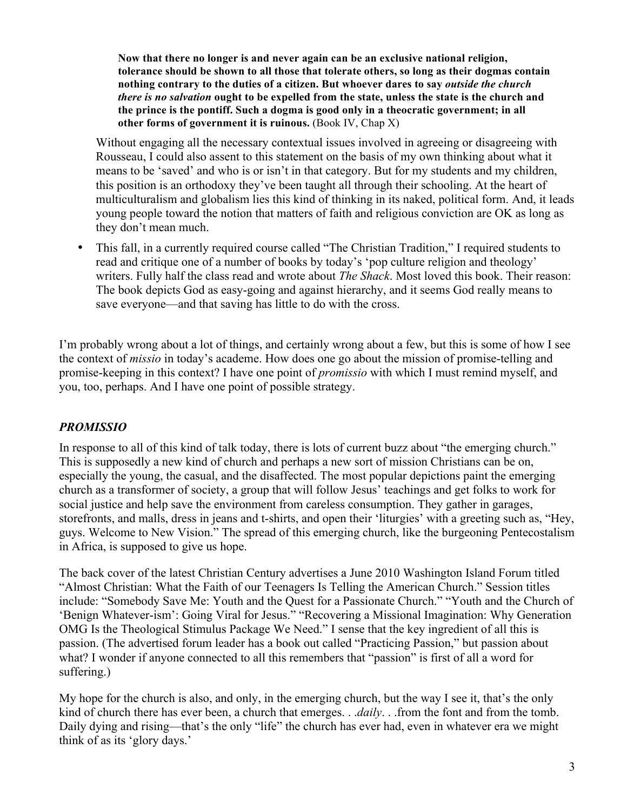**Now that there no longer is and never again can be an exclusive national religion, tolerance should be shown to all those that tolerate others, so long as their dogmas contain nothing contrary to the duties of a citizen. But whoever dares to say** *outside the church there is no salvation* **ought to be expelled from the state, unless the state is the church and the prince is the pontiff. Such a dogma is good only in a theocratic government; in all other forms of government it is ruinous.** (Book IV, Chap X)

Without engaging all the necessary contextual issues involved in agreeing or disagreeing with Rousseau, I could also assent to this statement on the basis of my own thinking about what it means to be 'saved' and who is or isn't in that category. But for my students and my children, this position is an orthodoxy they've been taught all through their schooling. At the heart of multiculturalism and globalism lies this kind of thinking in its naked, political form. And, it leads young people toward the notion that matters of faith and religious conviction are OK as long as they don't mean much.

• This fall, in a currently required course called "The Christian Tradition," I required students to read and critique one of a number of books by today's 'pop culture religion and theology' writers. Fully half the class read and wrote about *The Shack*. Most loved this book. Their reason: The book depicts God as easy-going and against hierarchy, and it seems God really means to save everyone—and that saving has little to do with the cross.

I'm probably wrong about a lot of things, and certainly wrong about a few, but this is some of how I see the context of *missio* in today's academe. How does one go about the mission of promise-telling and promise-keeping in this context? I have one point of *promissio* with which I must remind myself, and you, too, perhaps. And I have one point of possible strategy.

### *PROMISSIO*

In response to all of this kind of talk today, there is lots of current buzz about "the emerging church." This is supposedly a new kind of church and perhaps a new sort of mission Christians can be on, especially the young, the casual, and the disaffected. The most popular depictions paint the emerging church as a transformer of society, a group that will follow Jesus' teachings and get folks to work for social justice and help save the environment from careless consumption. They gather in garages, storefronts, and malls, dress in jeans and t-shirts, and open their 'liturgies' with a greeting such as, "Hey, guys. Welcome to New Vision." The spread of this emerging church, like the burgeoning Pentecostalism in Africa, is supposed to give us hope.

The back cover of the latest Christian Century advertises a June 2010 Washington Island Forum titled "Almost Christian: What the Faith of our Teenagers Is Telling the American Church." Session titles include: "Somebody Save Me: Youth and the Quest for a Passionate Church." "Youth and the Church of 'Benign Whatever-ism': Going Viral for Jesus." "Recovering a Missional Imagination: Why Generation OMG Is the Theological Stimulus Package We Need." I sense that the key ingredient of all this is passion. (The advertised forum leader has a book out called "Practicing Passion," but passion about what? I wonder if anyone connected to all this remembers that "passion" is first of all a word for suffering.)

My hope for the church is also, and only, in the emerging church, but the way I see it, that's the only kind of church there has ever been, a church that emerges. . .*daily*. . .from the font and from the tomb. Daily dying and rising—that's the only "life" the church has ever had, even in whatever era we might think of as its 'glory days.'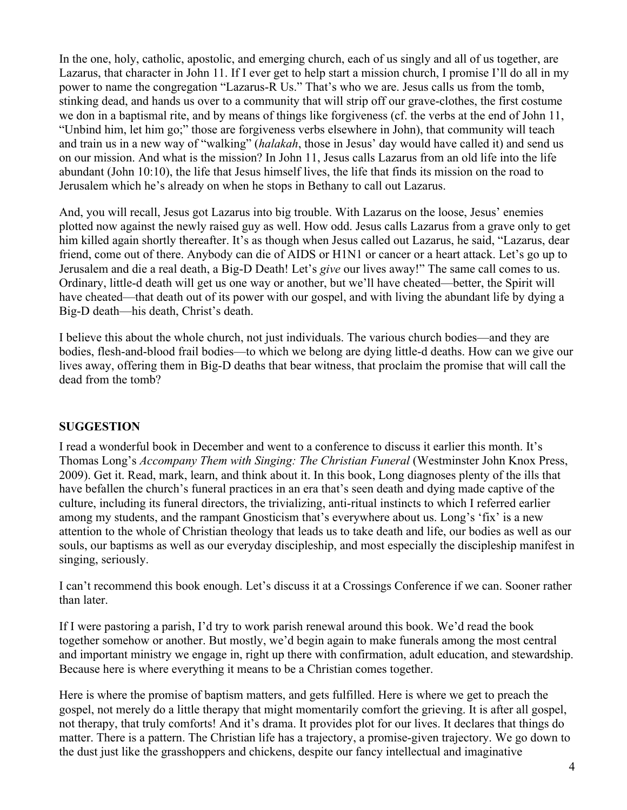In the one, holy, catholic, apostolic, and emerging church, each of us singly and all of us together, are Lazarus, that character in John 11. If I ever get to help start a mission church, I promise I'll do all in my power to name the congregation "Lazarus-R Us." That's who we are. Jesus calls us from the tomb, stinking dead, and hands us over to a community that will strip off our grave-clothes, the first costume we don in a baptismal rite, and by means of things like forgiveness (cf. the verbs at the end of John 11, "Unbind him, let him go;" those are forgiveness verbs elsewhere in John), that community will teach and train us in a new way of "walking" (*halakah*, those in Jesus' day would have called it) and send us on our mission. And what is the mission? In John 11, Jesus calls Lazarus from an old life into the life abundant (John 10:10), the life that Jesus himself lives, the life that finds its mission on the road to Jerusalem which he's already on when he stops in Bethany to call out Lazarus.

And, you will recall, Jesus got Lazarus into big trouble. With Lazarus on the loose, Jesus' enemies plotted now against the newly raised guy as well. How odd. Jesus calls Lazarus from a grave only to get him killed again shortly thereafter. It's as though when Jesus called out Lazarus, he said, "Lazarus, dear friend, come out of there. Anybody can die of AIDS or H1N1 or cancer or a heart attack. Let's go up to Jerusalem and die a real death, a Big-D Death! Let's *give* our lives away!" The same call comes to us. Ordinary, little-d death will get us one way or another, but we'll have cheated—better, the Spirit will have cheated—that death out of its power with our gospel, and with living the abundant life by dying a Big-D death—his death, Christ's death.

I believe this about the whole church, not just individuals. The various church bodies—and they are bodies, flesh-and-blood frail bodies—to which we belong are dying little-d deaths. How can we give our lives away, offering them in Big-D deaths that bear witness, that proclaim the promise that will call the dead from the tomb?

### **SUGGESTION**

I read a wonderful book in December and went to a conference to discuss it earlier this month. It's Thomas Long's *Accompany Them with Singing: The Christian Funeral* (Westminster John Knox Press, 2009). Get it. Read, mark, learn, and think about it. In this book, Long diagnoses plenty of the ills that have befallen the church's funeral practices in an era that's seen death and dying made captive of the culture, including its funeral directors, the trivializing, anti-ritual instincts to which I referred earlier among my students, and the rampant Gnosticism that's everywhere about us. Long's 'fix' is a new attention to the whole of Christian theology that leads us to take death and life, our bodies as well as our souls, our baptisms as well as our everyday discipleship, and most especially the discipleship manifest in singing, seriously.

I can't recommend this book enough. Let's discuss it at a Crossings Conference if we can. Sooner rather than later.

If I were pastoring a parish, I'd try to work parish renewal around this book. We'd read the book together somehow or another. But mostly, we'd begin again to make funerals among the most central and important ministry we engage in, right up there with confirmation, adult education, and stewardship. Because here is where everything it means to be a Christian comes together.

Here is where the promise of baptism matters, and gets fulfilled. Here is where we get to preach the gospel, not merely do a little therapy that might momentarily comfort the grieving. It is after all gospel, not therapy, that truly comforts! And it's drama. It provides plot for our lives. It declares that things do matter. There is a pattern. The Christian life has a trajectory, a promise-given trajectory. We go down to the dust just like the grasshoppers and chickens, despite our fancy intellectual and imaginative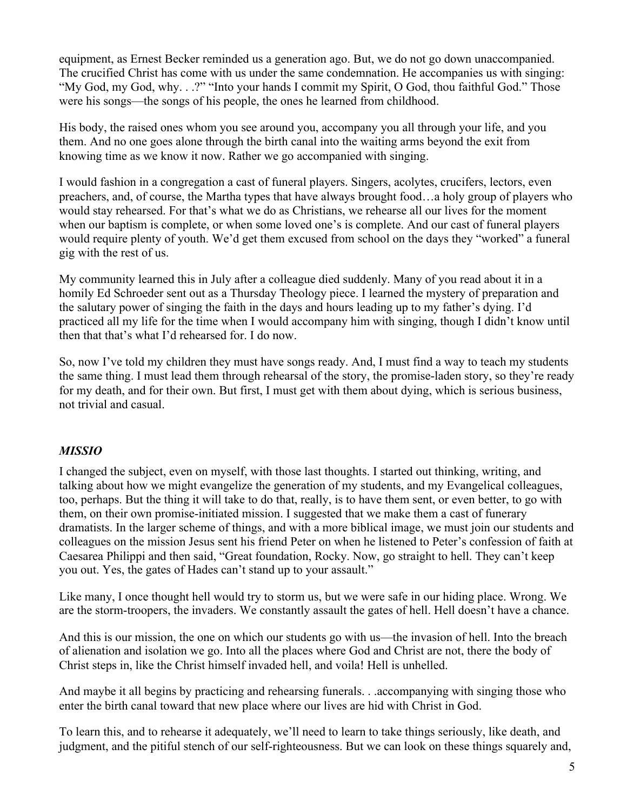equipment, as Ernest Becker reminded us a generation ago. But, we do not go down unaccompanied. The crucified Christ has come with us under the same condemnation. He accompanies us with singing: "My God, my God, why. . .?" "Into your hands I commit my Spirit, O God, thou faithful God." Those were his songs—the songs of his people, the ones he learned from childhood.

His body, the raised ones whom you see around you, accompany you all through your life, and you them. And no one goes alone through the birth canal into the waiting arms beyond the exit from knowing time as we know it now. Rather we go accompanied with singing.

I would fashion in a congregation a cast of funeral players. Singers, acolytes, crucifers, lectors, even preachers, and, of course, the Martha types that have always brought food…a holy group of players who would stay rehearsed. For that's what we do as Christians, we rehearse all our lives for the moment when our baptism is complete, or when some loved one's is complete. And our cast of funeral players would require plenty of youth. We'd get them excused from school on the days they "worked" a funeral gig with the rest of us.

My community learned this in July after a colleague died suddenly. Many of you read about it in a homily Ed Schroeder sent out as a Thursday Theology piece. I learned the mystery of preparation and the salutary power of singing the faith in the days and hours leading up to my father's dying. I'd practiced all my life for the time when I would accompany him with singing, though I didn't know until then that that's what I'd rehearsed for. I do now.

So, now I've told my children they must have songs ready. And, I must find a way to teach my students the same thing. I must lead them through rehearsal of the story, the promise-laden story, so they're ready for my death, and for their own. But first, I must get with them about dying, which is serious business, not trivial and casual.

### *MISSIO*

I changed the subject, even on myself, with those last thoughts. I started out thinking, writing, and talking about how we might evangelize the generation of my students, and my Evangelical colleagues, too, perhaps. But the thing it will take to do that, really, is to have them sent, or even better, to go with them, on their own promise-initiated mission. I suggested that we make them a cast of funerary dramatists. In the larger scheme of things, and with a more biblical image, we must join our students and colleagues on the mission Jesus sent his friend Peter on when he listened to Peter's confession of faith at Caesarea Philippi and then said, "Great foundation, Rocky. Now, go straight to hell. They can't keep you out. Yes, the gates of Hades can't stand up to your assault."

Like many, I once thought hell would try to storm us, but we were safe in our hiding place. Wrong. We are the storm-troopers, the invaders. We constantly assault the gates of hell. Hell doesn't have a chance.

And this is our mission, the one on which our students go with us—the invasion of hell. Into the breach of alienation and isolation we go. Into all the places where God and Christ are not, there the body of Christ steps in, like the Christ himself invaded hell, and voila! Hell is unhelled.

And maybe it all begins by practicing and rehearsing funerals. . .accompanying with singing those who enter the birth canal toward that new place where our lives are hid with Christ in God.

To learn this, and to rehearse it adequately, we'll need to learn to take things seriously, like death, and judgment, and the pitiful stench of our self-righteousness. But we can look on these things squarely and,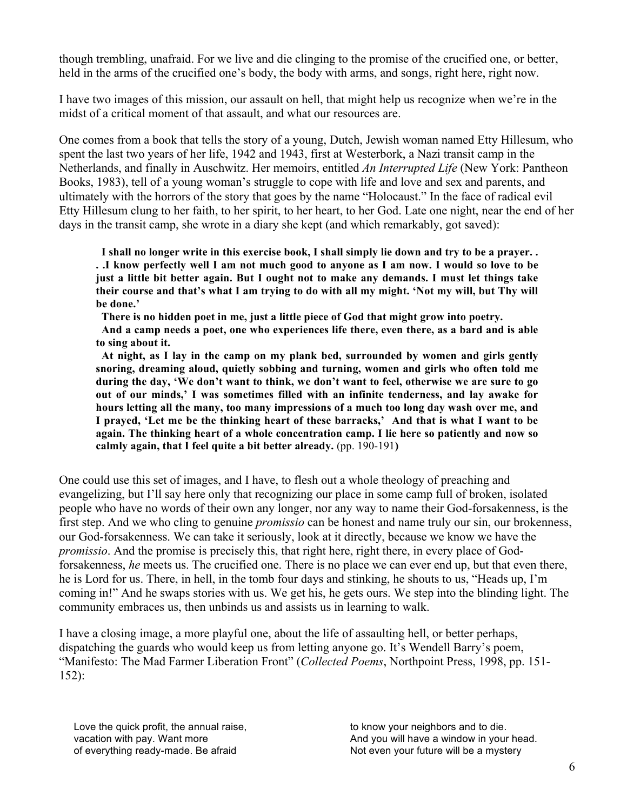though trembling, unafraid. For we live and die clinging to the promise of the crucified one, or better, held in the arms of the crucified one's body, the body with arms, and songs, right here, right now.

I have two images of this mission, our assault on hell, that might help us recognize when we're in the midst of a critical moment of that assault, and what our resources are.

One comes from a book that tells the story of a young, Dutch, Jewish woman named Etty Hillesum, who spent the last two years of her life, 1942 and 1943, first at Westerbork, a Nazi transit camp in the Netherlands, and finally in Auschwitz. Her memoirs, entitled *An Interrupted Life* (New York: Pantheon Books, 1983), tell of a young woman's struggle to cope with life and love and sex and parents, and ultimately with the horrors of the story that goes by the name "Holocaust." In the face of radical evil Etty Hillesum clung to her faith, to her spirit, to her heart, to her God. Late one night, near the end of her days in the transit camp, she wrote in a diary she kept (and which remarkably, got saved):

 **I shall no longer write in this exercise book, I shall simply lie down and try to be a prayer. . . .I know perfectly well I am not much good to anyone as I am now. I would so love to be just a little bit better again. But I ought not to make any demands. I must let things take their course and that's what I am trying to do with all my might. 'Not my will, but Thy will be done.'**

 **There is no hidden poet in me, just a little piece of God that might grow into poetry.**

 **And a camp needs a poet, one who experiences life there, even there, as a bard and is able to sing about it.** 

 **At night, as I lay in the camp on my plank bed, surrounded by women and girls gently snoring, dreaming aloud, quietly sobbing and turning, women and girls who often told me during the day, 'We don't want to think, we don't want to feel, otherwise we are sure to go out of our minds,' I was sometimes filled with an infinite tenderness, and lay awake for hours letting all the many, too many impressions of a much too long day wash over me, and I prayed, 'Let me be the thinking heart of these barracks,' And that is what I want to be again. The thinking heart of a whole concentration camp. I lie here so patiently and now so calmly again, that I feel quite a bit better already.** (pp. 190-191**)**

One could use this set of images, and I have, to flesh out a whole theology of preaching and evangelizing, but I'll say here only that recognizing our place in some camp full of broken, isolated people who have no words of their own any longer, nor any way to name their God-forsakenness, is the first step. And we who cling to genuine *promissio* can be honest and name truly our sin, our brokenness, our God-forsakenness. We can take it seriously, look at it directly, because we know we have the *promissio*. And the promise is precisely this, that right here, right there, in every place of Godforsakenness, *he* meets us. The crucified one. There is no place we can ever end up, but that even there, he is Lord for us. There, in hell, in the tomb four days and stinking, he shouts to us, "Heads up, I'm coming in!" And he swaps stories with us. We get his, he gets ours. We step into the blinding light. The community embraces us, then unbinds us and assists us in learning to walk.

I have a closing image, a more playful one, about the life of assaulting hell, or better perhaps, dispatching the guards who would keep us from letting anyone go. It's Wendell Barry's poem, "Manifesto: The Mad Farmer Liberation Front" (*Collected Poems*, Northpoint Press, 1998, pp. 151- 152):

Love the quick profit, the annual raise, vacation with pay. Want more of everything ready-made. Be afraid

to know your neighbors and to die. And you will have a window in your head. Not even your future will be a mystery